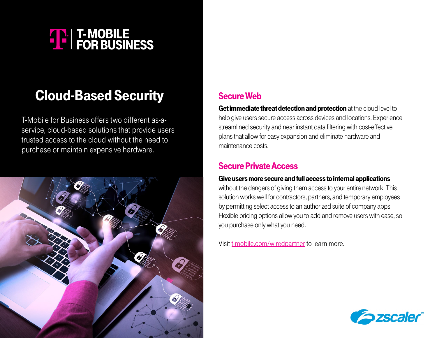# **THE T-MOBILE**<br>
FOR BUSINESS

# Cloud-Based Security

T-Mobile for Business offers two different as-aservice, cloud-based solutions that provide users trusted access to the cloud without the need to purchase or maintain expensive hardware.



## Secure Web

Get immediate threat detection and protection at the cloud level to help give users secure access across devices and locations. Experience streamlined security and near instant data filtering with cost-effective plans that allow for easy expansion and eliminate hardware and maintenance costs.

### Secure Private Access

#### Give users more secure and full access to internal applications

without the dangers of giving them access to your entire network. This solution works well for contractors, partners, and temporary employees by permitting select access to an authorized suite of company apps. Flexible pricing options allow you to add and remove users with ease, so you purchase only what you need.

Visit [t-mobile.com/wiredpartner](http://t-mobile.com/wiredpartner) to learn more.